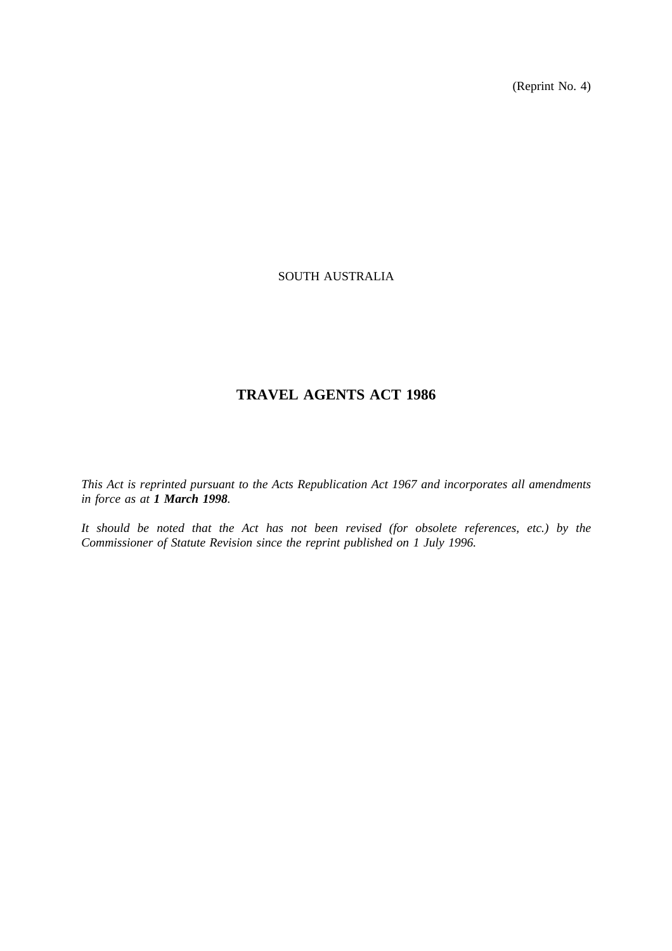(Reprint No. 4)

# SOUTH AUSTRALIA

# **TRAVEL AGENTS ACT 1986**

*This Act is reprinted pursuant to the Acts Republication Act 1967 and incorporates all amendments in force as at 1 March 1998.*

*It should be noted that the Act has not been revised (for obsolete references, etc.) by the Commissioner of Statute Revision since the reprint published on 1 July 1996.*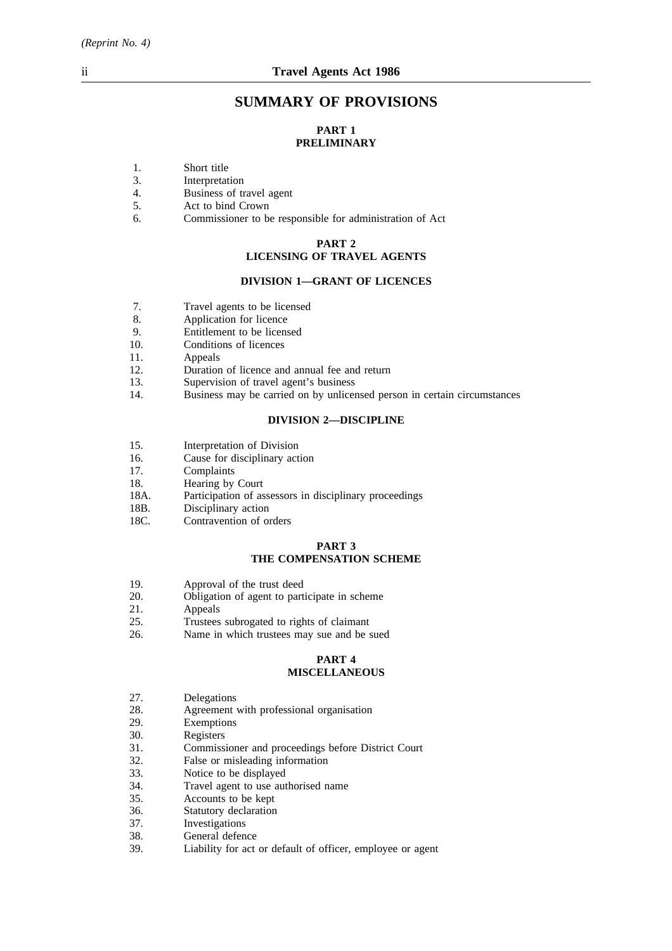# **SUMMARY OF PROVISIONS**

# **PART 1 PRELIMINARY**

- 1. Short title
- 3. Interpretation
- 4. Business of travel agent
- 5. Act to bind Crown
- 6. Commissioner to be responsible for administration of Act

#### **PART 2**

# **LICENSING OF TRAVEL AGENTS**

## **DIVISION 1—GRANT OF LICENCES**

- 7. Travel agents to be licensed
- 8. Application for licence<br>9. Finitement to be licens
- 9. Entitlement to be licensed<br>10. Conditions of licences
- Conditions of licences
- 11. Appeals
- 12. Duration of licence and annual fee and return
- 13. Supervision of travel agent's business
- 14. Business may be carried on by unlicensed person in certain circumstances

## **DIVISION 2—DISCIPLINE**

- 15. Interpretation of Division<br>16. Cause for disciplinary act
- 16. Cause for disciplinary action 17.
- Complaints
- 18. Hearing by Court
- 18A. Participation of assessors in disciplinary proceedings
- 
- 18B. Disciplinary action<br>18C. Contravention of or Contravention of orders

#### **PART 3 THE COMPENSATION SCHEME**

- 19. Approval of the trust deed
- 20. Obligation of agent to participate in scheme
- 21. Appeals
- 25. Trustees subrogated to rights of claimant
- 26. Name in which trustees may sue and be sued

#### **PART 4 MISCELLANEOUS**

- 27. Delegations
- 28. Agreement with professional organisation
- 29. Exemptions
- 30. Registers
- 31. Commissioner and proceedings before District Court
- 32. False or misleading information<br>33. Notice to be displayed
- Notice to be displayed
- 34. Travel agent to use authorised name
- 35. Accounts to be kept
- 36. Statutory declaration
- 37. Investigations
- 38. General defence
- 39. Liability for act or default of officer, employee or agent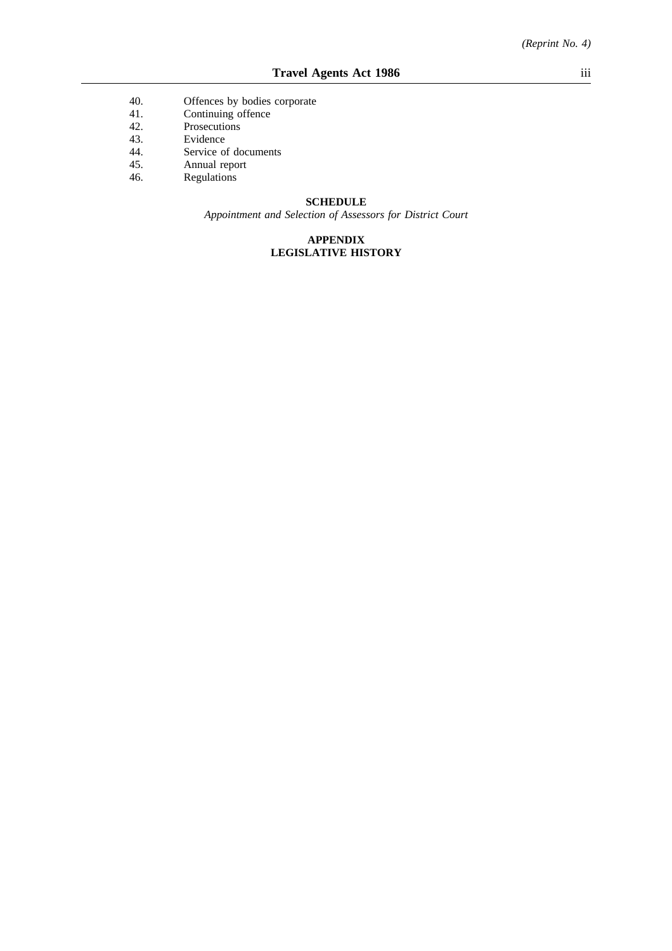- 40. Offences by bodies corporate 41. Continuing offence
- Continuing offence
- 42. Prosecutions
- 43. Evidence
- 44. Service of documents
- 45. Annual report<br>46. Regulations
- Regulations

#### **SCHEDULE**

*Appointment and Selection of Assessors for District Court*

# **APPENDIX LEGISLATIVE HISTORY**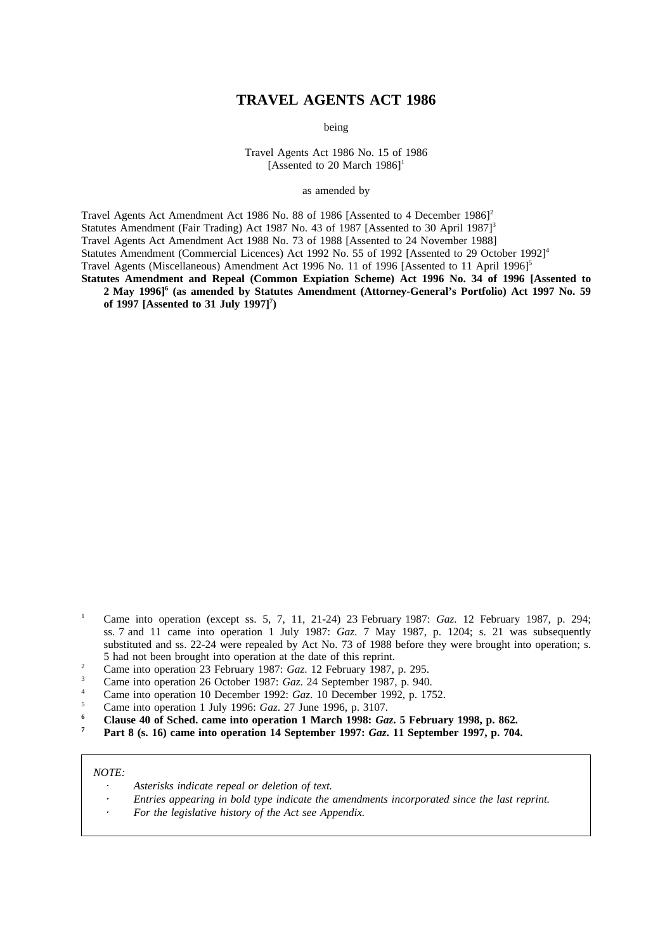# **TRAVEL AGENTS ACT 1986**

being

Travel Agents Act 1986 No. 15 of 1986 [Assented to 20 March  $1986$ ]<sup>1</sup>

as amended by

Travel Agents Act Amendment Act 1986 No. 88 of 1986 [Assented to 4 December 1986]<sup>2</sup> Statutes Amendment (Fair Trading) Act 1987 No. 43 of 1987 [Assented to 30 April 1987]<sup>3</sup> Travel Agents Act Amendment Act 1988 No. 73 of 1988 [Assented to 24 November 1988] Statutes Amendment (Commercial Licences) Act 1992 No. 55 of 1992 [Assented to 29 October 1992]<sup>4</sup> Travel Agents (Miscellaneous) Amendment Act 1996 No. 11 of 1996 [Assented to 11 April 1996]<sup>5</sup> **Statutes Amendment and Repeal (Common Expiation Scheme) Act 1996 No. 34 of 1996 [Assented to**

**2 May 1996]6 (as amended by Statutes Amendment (Attorney-General's Portfolio) Act 1997 No. 59 of 1997 [Assented to 31 July 1997]7 )**

- <sup>1</sup> Came into operation (except ss. 5, 7, 11, 21-24) 23 February 1987: *Gaz*. 12 February 1987, p. 294; ss. 7 and 11 came into operation 1 July 1987: *Gaz*. 7 May 1987, p. 1204; s. 21 was subsequently substituted and ss. 22-24 were repealed by Act No. 73 of 1988 before they were brought into operation; s. 5 had not been brought into operation at the date of this reprint.
- <sup>2</sup> Came into operation 23 February 1987: *Gaz*. 12 February 1987, p. 295.<br><sup>3</sup> Came into operation 26 Ostober 1987: *Gaz*. 24 September 1987, p. 940
- <sup>3</sup> Came into operation 26 October 1987: *Gaz*. 24 September 1987, p. 940.
- <sup>4</sup> Came into operation 10 December 1992: *Gaz*. 10 December 1992, p. 1752.
- <sup>5</sup> Came into operation 1 July 1996: *Gaz*. 27 June 1996, p. 3107.
- **<sup>6</sup> Clause 40 of Sched. came into operation 1 March 1998:** *Gaz***. 5 February 1998, p. 862.**
- **<sup>7</sup> Part 8 (s. 16) came into operation 14 September 1997:** *Gaz***. 11 September 1997, p. 704.**

#### *NOTE:*

- *Asterisks indicate repeal or deletion of text.*
- *Entries appearing in bold type indicate the amendments incorporated since the last reprint.*
- *For the legislative history of the Act see Appendix.*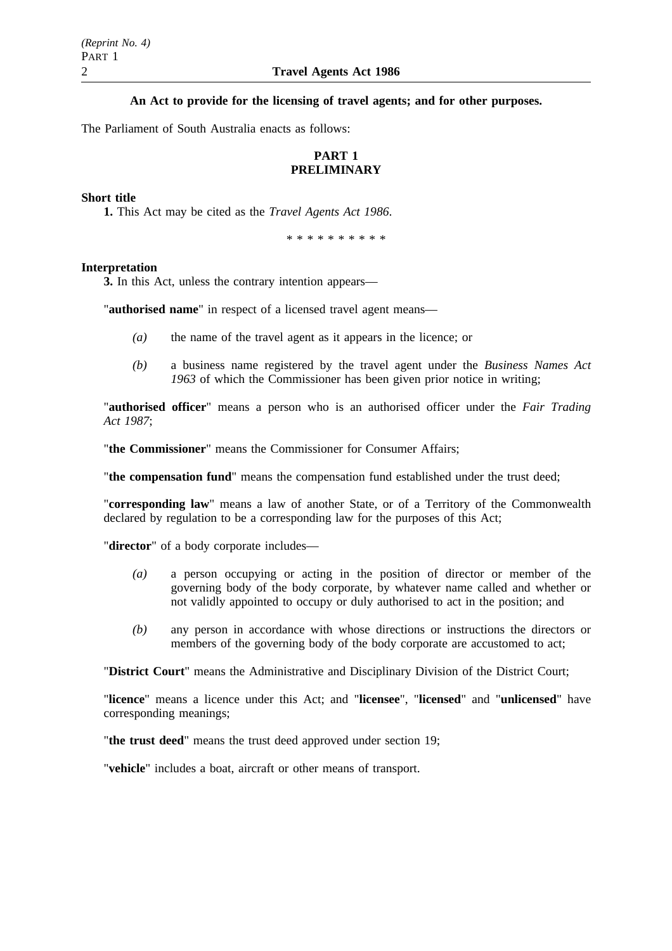**An Act to provide for the licensing of travel agents; and for other purposes.**

The Parliament of South Australia enacts as follows:

# **PART 1 PRELIMINARY**

## **Short title**

**1.** This Act may be cited as the *Travel Agents Act 1986*.

\*\*\*\*\*\*\*\*\*\*

## **Interpretation**

**3.** In this Act, unless the contrary intention appears—

"**authorised name**" in respect of a licensed travel agent means—

- *(a)* the name of the travel agent as it appears in the licence; or
- *(b)* a business name registered by the travel agent under the *Business Names Act 1963* of which the Commissioner has been given prior notice in writing;

"**authorised officer**" means a person who is an authorised officer under the *Fair Trading Act 1987*;

"**the Commissioner**" means the Commissioner for Consumer Affairs;

"**the compensation fund**" means the compensation fund established under the trust deed;

"**corresponding law**" means a law of another State, or of a Territory of the Commonwealth declared by regulation to be a corresponding law for the purposes of this Act;

"**director**" of a body corporate includes—

- *(a)* a person occupying or acting in the position of director or member of the governing body of the body corporate, by whatever name called and whether or not validly appointed to occupy or duly authorised to act in the position; and
- *(b)* any person in accordance with whose directions or instructions the directors or members of the governing body of the body corporate are accustomed to act;

"**District Court**" means the Administrative and Disciplinary Division of the District Court;

"**licence**" means a licence under this Act; and "**licensee**", "**licensed**" and "**unlicensed**" have corresponding meanings;

"**the trust deed**" means the trust deed approved under section 19;

"**vehicle**" includes a boat, aircraft or other means of transport.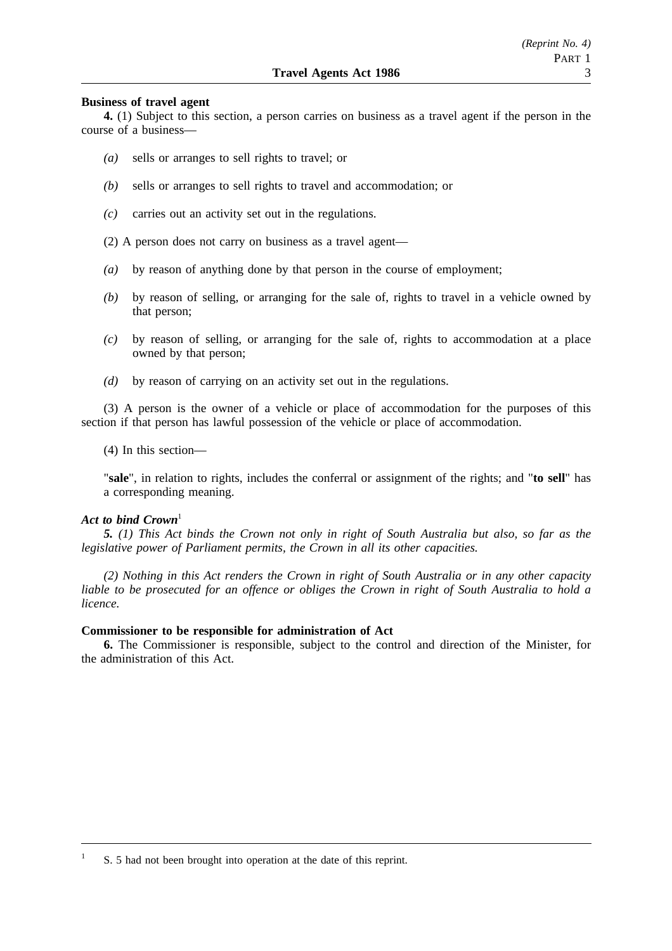#### **Business of travel agent**

**4.** (1) Subject to this section, a person carries on business as a travel agent if the person in the course of a business—

- *(a)* sells or arranges to sell rights to travel; or
- *(b)* sells or arranges to sell rights to travel and accommodation; or
- *(c)* carries out an activity set out in the regulations.
- (2) A person does not carry on business as a travel agent—
- *(a)* by reason of anything done by that person in the course of employment;
- *(b)* by reason of selling, or arranging for the sale of, rights to travel in a vehicle owned by that person;
- *(c)* by reason of selling, or arranging for the sale of, rights to accommodation at a place owned by that person;
- *(d)* by reason of carrying on an activity set out in the regulations.

(3) A person is the owner of a vehicle or place of accommodation for the purposes of this section if that person has lawful possession of the vehicle or place of accommodation.

(4) In this section—

"**sale**", in relation to rights, includes the conferral or assignment of the rights; and "**to sell**" has a corresponding meaning.

## Act to bind Crown<sup>1</sup>

*5. (1) This Act binds the Crown not only in right of South Australia but also, so far as the legislative power of Parliament permits, the Crown in all its other capacities.*

*(2) Nothing in this Act renders the Crown in right of South Australia or in any other capacity liable to be prosecuted for an offence or obliges the Crown in right of South Australia to hold a licence.*

#### **Commissioner to be responsible for administration of Act**

**6.** The Commissioner is responsible, subject to the control and direction of the Minister, for the administration of this Act.

<sup>1</sup> S. 5 had not been brought into operation at the date of this reprint.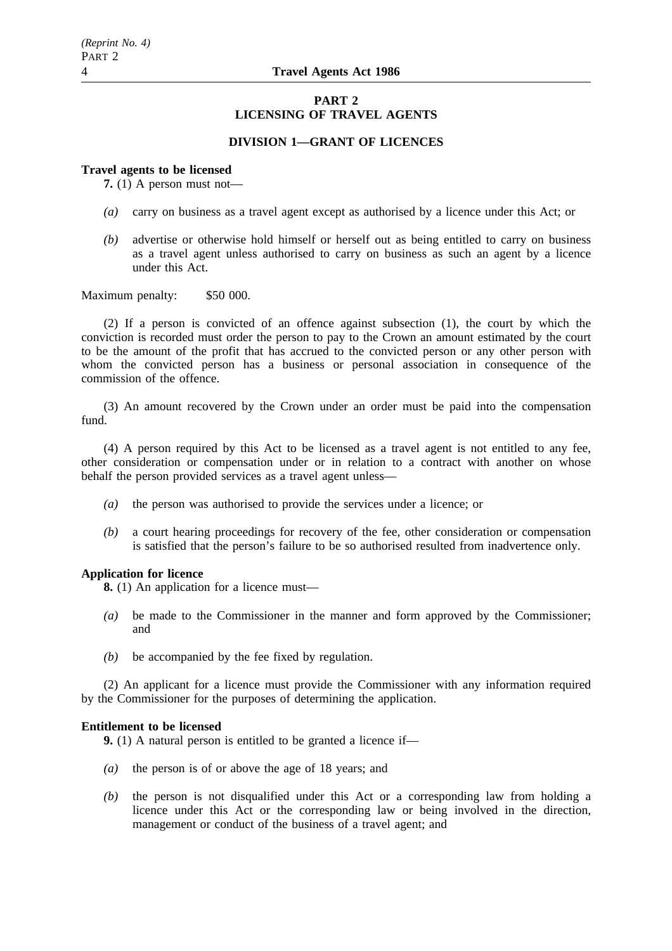## **PART 2 LICENSING OF TRAVEL AGENTS**

# **DIVISION 1—GRANT OF LICENCES**

#### **Travel agents to be licensed**

**7.** (1) A person must not—

- *(a)* carry on business as a travel agent except as authorised by a licence under this Act; or
- *(b)* advertise or otherwise hold himself or herself out as being entitled to carry on business as a travel agent unless authorised to carry on business as such an agent by a licence under this Act.

Maximum penalty: \$50 000.

(2) If a person is convicted of an offence against subsection (1), the court by which the conviction is recorded must order the person to pay to the Crown an amount estimated by the court to be the amount of the profit that has accrued to the convicted person or any other person with whom the convicted person has a business or personal association in consequence of the commission of the offence.

(3) An amount recovered by the Crown under an order must be paid into the compensation fund.

(4) A person required by this Act to be licensed as a travel agent is not entitled to any fee, other consideration or compensation under or in relation to a contract with another on whose behalf the person provided services as a travel agent unless—

- *(a)* the person was authorised to provide the services under a licence; or
- *(b)* a court hearing proceedings for recovery of the fee, other consideration or compensation is satisfied that the person's failure to be so authorised resulted from inadvertence only.

#### **Application for licence**

**8.** (1) An application for a licence must—

- *(a)* be made to the Commissioner in the manner and form approved by the Commissioner; and
- *(b)* be accompanied by the fee fixed by regulation.

(2) An applicant for a licence must provide the Commissioner with any information required by the Commissioner for the purposes of determining the application.

## **Entitlement to be licensed**

**9.** (1) A natural person is entitled to be granted a licence if—

- *(a)* the person is of or above the age of 18 years; and
- *(b)* the person is not disqualified under this Act or a corresponding law from holding a licence under this Act or the corresponding law or being involved in the direction, management or conduct of the business of a travel agent; and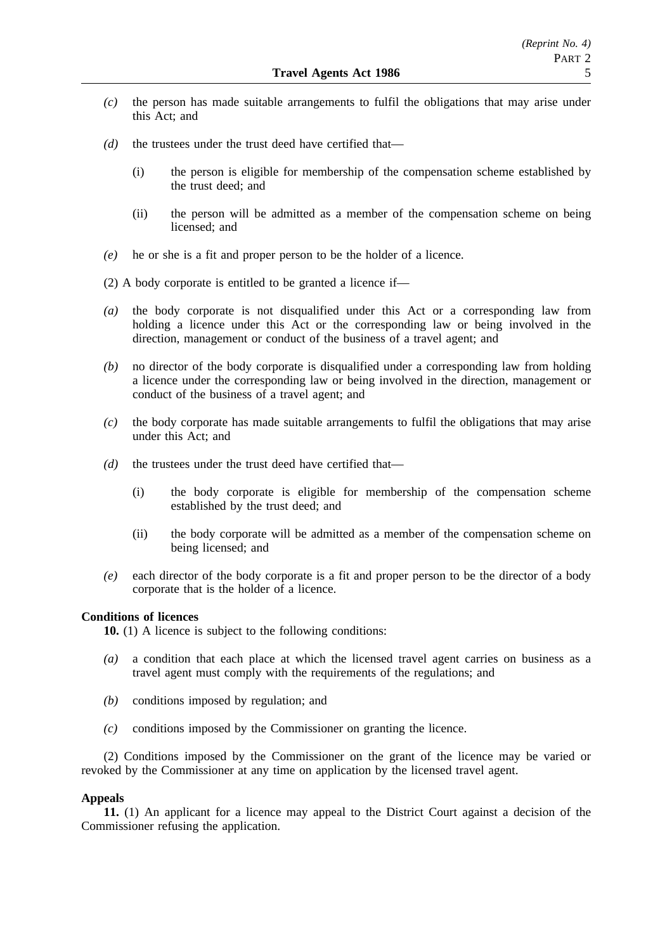- *(c)* the person has made suitable arrangements to fulfil the obligations that may arise under this Act; and
- *(d)* the trustees under the trust deed have certified that—
	- (i) the person is eligible for membership of the compensation scheme established by the trust deed; and
	- (ii) the person will be admitted as a member of the compensation scheme on being licensed; and
- *(e)* he or she is a fit and proper person to be the holder of a licence.
- (2) A body corporate is entitled to be granted a licence if—
- *(a)* the body corporate is not disqualified under this Act or a corresponding law from holding a licence under this Act or the corresponding law or being involved in the direction, management or conduct of the business of a travel agent; and
- *(b)* no director of the body corporate is disqualified under a corresponding law from holding a licence under the corresponding law or being involved in the direction, management or conduct of the business of a travel agent; and
- *(c)* the body corporate has made suitable arrangements to fulfil the obligations that may arise under this Act; and
- *(d)* the trustees under the trust deed have certified that—
	- (i) the body corporate is eligible for membership of the compensation scheme established by the trust deed; and
	- (ii) the body corporate will be admitted as a member of the compensation scheme on being licensed; and
- *(e)* each director of the body corporate is a fit and proper person to be the director of a body corporate that is the holder of a licence.

## **Conditions of licences**

**10.** (1) A licence is subject to the following conditions:

- *(a)* a condition that each place at which the licensed travel agent carries on business as a travel agent must comply with the requirements of the regulations; and
- *(b)* conditions imposed by regulation; and
- *(c)* conditions imposed by the Commissioner on granting the licence.

(2) Conditions imposed by the Commissioner on the grant of the licence may be varied or revoked by the Commissioner at any time on application by the licensed travel agent.

# **Appeals**

**11.** (1) An applicant for a licence may appeal to the District Court against a decision of the Commissioner refusing the application.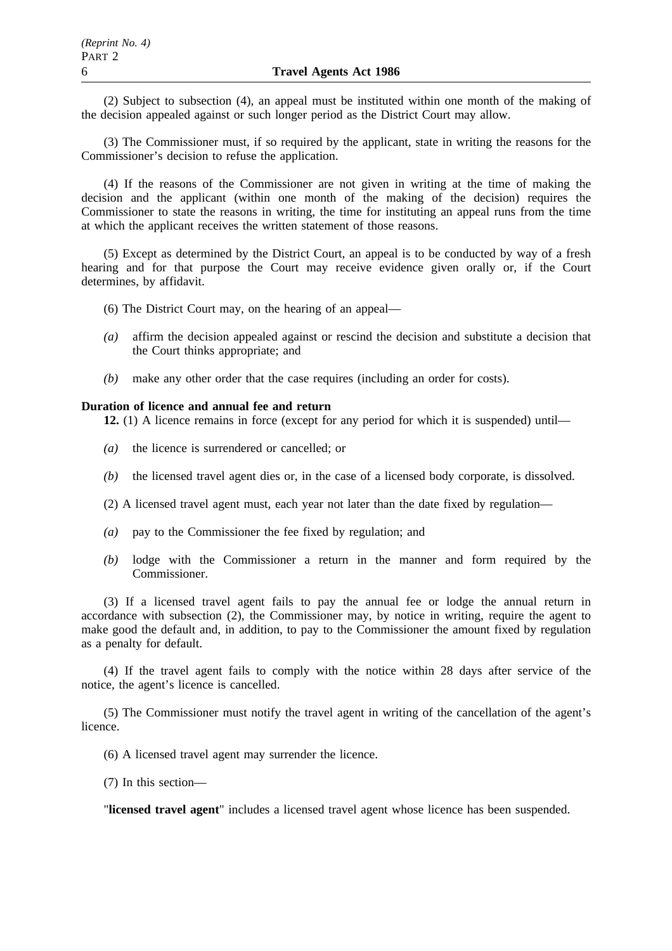(2) Subject to subsection (4), an appeal must be instituted within one month of the making of the decision appealed against or such longer period as the District Court may allow.

(3) The Commissioner must, if so required by the applicant, state in writing the reasons for the Commissioner's decision to refuse the application.

(4) If the reasons of the Commissioner are not given in writing at the time of making the decision and the applicant (within one month of the making of the decision) requires the Commissioner to state the reasons in writing, the time for instituting an appeal runs from the time at which the applicant receives the written statement of those reasons.

(5) Except as determined by the District Court, an appeal is to be conducted by way of a fresh hearing and for that purpose the Court may receive evidence given orally or, if the Court determines, by affidavit.

- (6) The District Court may, on the hearing of an appeal—
- *(a)* affirm the decision appealed against or rescind the decision and substitute a decision that the Court thinks appropriate; and
- *(b)* make any other order that the case requires (including an order for costs).

# **Duration of licence and annual fee and return**

**12.** (1) A licence remains in force (except for any period for which it is suspended) until—

- *(a)* the licence is surrendered or cancelled; or
- *(b)* the licensed travel agent dies or, in the case of a licensed body corporate, is dissolved.
- (2) A licensed travel agent must, each year not later than the date fixed by regulation—
- *(a)* pay to the Commissioner the fee fixed by regulation; and
- *(b)* lodge with the Commissioner a return in the manner and form required by the Commissioner.

(3) If a licensed travel agent fails to pay the annual fee or lodge the annual return in accordance with subsection (2), the Commissioner may, by notice in writing, require the agent to make good the default and, in addition, to pay to the Commissioner the amount fixed by regulation as a penalty for default.

(4) If the travel agent fails to comply with the notice within 28 days after service of the notice, the agent's licence is cancelled.

(5) The Commissioner must notify the travel agent in writing of the cancellation of the agent's licence.

- (6) A licensed travel agent may surrender the licence.
- (7) In this section—

"**licensed travel agent**" includes a licensed travel agent whose licence has been suspended.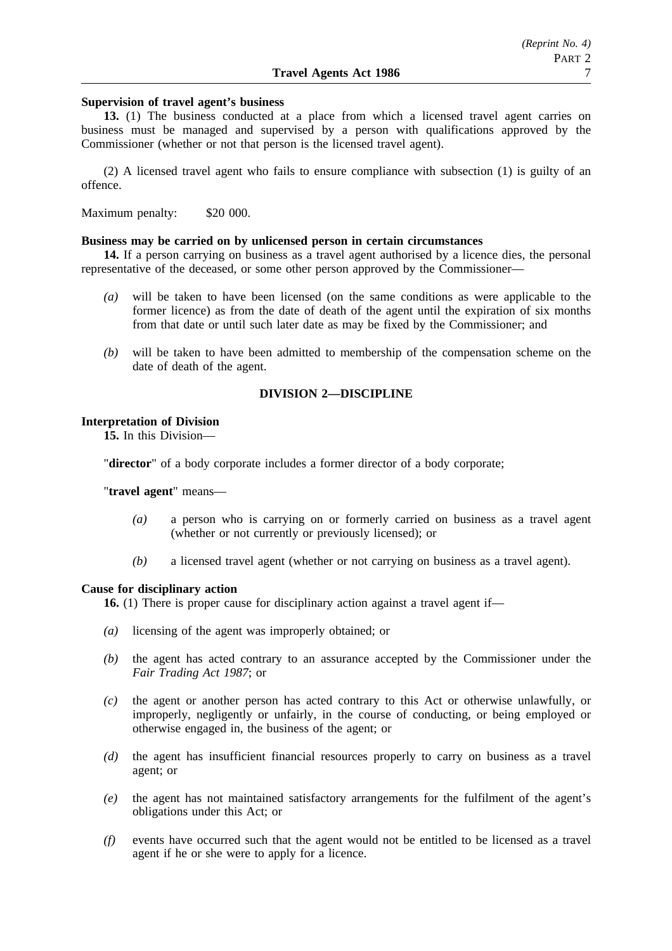#### **Supervision of travel agent's business**

**13.** (1) The business conducted at a place from which a licensed travel agent carries on business must be managed and supervised by a person with qualifications approved by the Commissioner (whether or not that person is the licensed travel agent).

(2) A licensed travel agent who fails to ensure compliance with subsection (1) is guilty of an offence.

Maximum penalty: \$20 000.

#### **Business may be carried on by unlicensed person in certain circumstances**

**14.** If a person carrying on business as a travel agent authorised by a licence dies, the personal representative of the deceased, or some other person approved by the Commissioner—

- *(a)* will be taken to have been licensed (on the same conditions as were applicable to the former licence) as from the date of death of the agent until the expiration of six months from that date or until such later date as may be fixed by the Commissioner; and
- *(b)* will be taken to have been admitted to membership of the compensation scheme on the date of death of the agent.

# **DIVISION 2—DISCIPLINE**

#### **Interpretation of Division**

**15.** In this Division—

"**director**" of a body corporate includes a former director of a body corporate;

"**travel agent**" means—

- *(a)* a person who is carrying on or formerly carried on business as a travel agent (whether or not currently or previously licensed); or
- *(b)* a licensed travel agent (whether or not carrying on business as a travel agent).

#### **Cause for disciplinary action**

**16.** (1) There is proper cause for disciplinary action against a travel agent if—

- *(a)* licensing of the agent was improperly obtained; or
- *(b)* the agent has acted contrary to an assurance accepted by the Commissioner under the *Fair Trading Act 1987*; or
- *(c)* the agent or another person has acted contrary to this Act or otherwise unlawfully, or improperly, negligently or unfairly, in the course of conducting, or being employed or otherwise engaged in, the business of the agent; or
- *(d)* the agent has insufficient financial resources properly to carry on business as a travel agent; or
- *(e)* the agent has not maintained satisfactory arrangements for the fulfilment of the agent's obligations under this Act; or
- *(f)* events have occurred such that the agent would not be entitled to be licensed as a travel agent if he or she were to apply for a licence.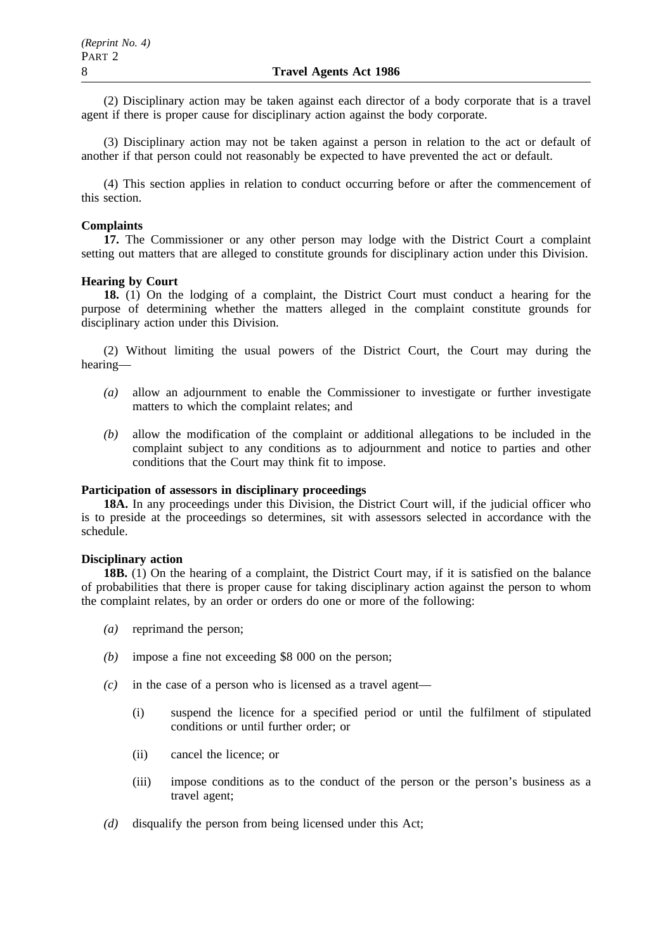(2) Disciplinary action may be taken against each director of a body corporate that is a travel agent if there is proper cause for disciplinary action against the body corporate.

(3) Disciplinary action may not be taken against a person in relation to the act or default of another if that person could not reasonably be expected to have prevented the act or default.

(4) This section applies in relation to conduct occurring before or after the commencement of this section.

## **Complaints**

**17.** The Commissioner or any other person may lodge with the District Court a complaint setting out matters that are alleged to constitute grounds for disciplinary action under this Division.

## **Hearing by Court**

**18.** (1) On the lodging of a complaint, the District Court must conduct a hearing for the purpose of determining whether the matters alleged in the complaint constitute grounds for disciplinary action under this Division.

(2) Without limiting the usual powers of the District Court, the Court may during the hearing—

- *(a)* allow an adjournment to enable the Commissioner to investigate or further investigate matters to which the complaint relates; and
- *(b)* allow the modification of the complaint or additional allegations to be included in the complaint subject to any conditions as to adjournment and notice to parties and other conditions that the Court may think fit to impose.

# **Participation of assessors in disciplinary proceedings**

**18A.** In any proceedings under this Division, the District Court will, if the judicial officer who is to preside at the proceedings so determines, sit with assessors selected in accordance with the schedule.

## **Disciplinary action**

**18B.** (1) On the hearing of a complaint, the District Court may, if it is satisfied on the balance of probabilities that there is proper cause for taking disciplinary action against the person to whom the complaint relates, by an order or orders do one or more of the following:

- *(a)* reprimand the person;
- *(b)* impose a fine not exceeding \$8 000 on the person;
- *(c)* in the case of a person who is licensed as a travel agent—
	- (i) suspend the licence for a specified period or until the fulfilment of stipulated conditions or until further order; or
	- (ii) cancel the licence; or
	- (iii) impose conditions as to the conduct of the person or the person's business as a travel agent;
- *(d)* disqualify the person from being licensed under this Act;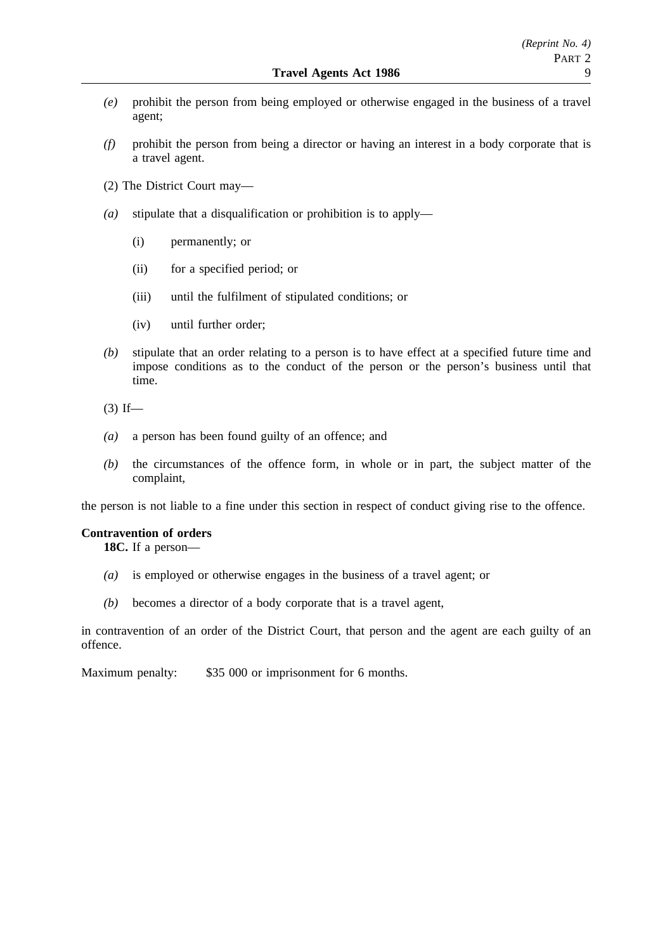- *(e)* prohibit the person from being employed or otherwise engaged in the business of a travel agent;
- *(f)* prohibit the person from being a director or having an interest in a body corporate that is a travel agent.
- (2) The District Court may—
- *(a)* stipulate that a disqualification or prohibition is to apply—
	- (i) permanently; or
	- (ii) for a specified period; or
	- (iii) until the fulfilment of stipulated conditions; or
	- (iv) until further order;
- *(b)* stipulate that an order relating to a person is to have effect at a specified future time and impose conditions as to the conduct of the person or the person's business until that time.
- $(3)$  If—
- *(a)* a person has been found guilty of an offence; and
- *(b)* the circumstances of the offence form, in whole or in part, the subject matter of the complaint,

the person is not liable to a fine under this section in respect of conduct giving rise to the offence.

#### **Contravention of orders**

**18C.** If a person—

- *(a)* is employed or otherwise engages in the business of a travel agent; or
- *(b)* becomes a director of a body corporate that is a travel agent,

in contravention of an order of the District Court, that person and the agent are each guilty of an offence.

Maximum penalty: \$35 000 or imprisonment for 6 months.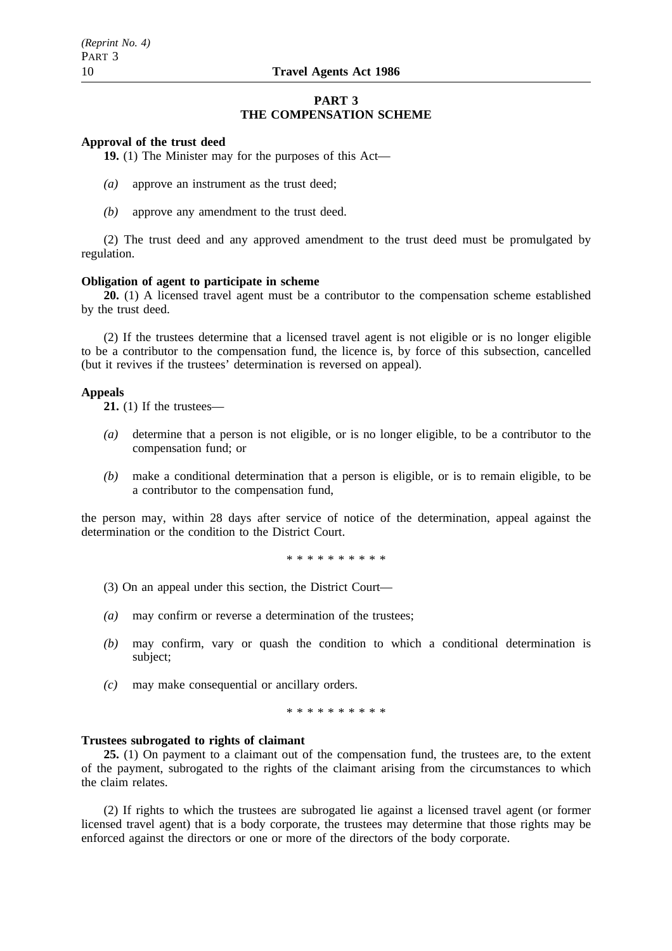### **PART 3 THE COMPENSATION SCHEME**

#### **Approval of the trust deed**

**19.** (1) The Minister may for the purposes of this Act—

- *(a)* approve an instrument as the trust deed;
- *(b)* approve any amendment to the trust deed.

(2) The trust deed and any approved amendment to the trust deed must be promulgated by regulation.

#### **Obligation of agent to participate in scheme**

**20.** (1) A licensed travel agent must be a contributor to the compensation scheme established by the trust deed.

(2) If the trustees determine that a licensed travel agent is not eligible or is no longer eligible to be a contributor to the compensation fund, the licence is, by force of this subsection, cancelled (but it revives if the trustees' determination is reversed on appeal).

#### **Appeals**

**21.** (1) If the trustees—

- *(a)* determine that a person is not eligible, or is no longer eligible, to be a contributor to the compensation fund; or
- *(b)* make a conditional determination that a person is eligible, or is to remain eligible, to be a contributor to the compensation fund,

the person may, within 28 days after service of notice of the determination, appeal against the determination or the condition to the District Court.

\*\*\*\*\*\*\*\*\*\*

- (3) On an appeal under this section, the District Court—
- *(a)* may confirm or reverse a determination of the trustees;
- *(b)* may confirm, vary or quash the condition to which a conditional determination is subject;
- *(c)* may make consequential or ancillary orders.

\*\*\*\*\*\*\*\*\*\*

#### **Trustees subrogated to rights of claimant**

**25.** (1) On payment to a claimant out of the compensation fund, the trustees are, to the extent of the payment, subrogated to the rights of the claimant arising from the circumstances to which the claim relates.

(2) If rights to which the trustees are subrogated lie against a licensed travel agent (or former licensed travel agent) that is a body corporate, the trustees may determine that those rights may be enforced against the directors or one or more of the directors of the body corporate.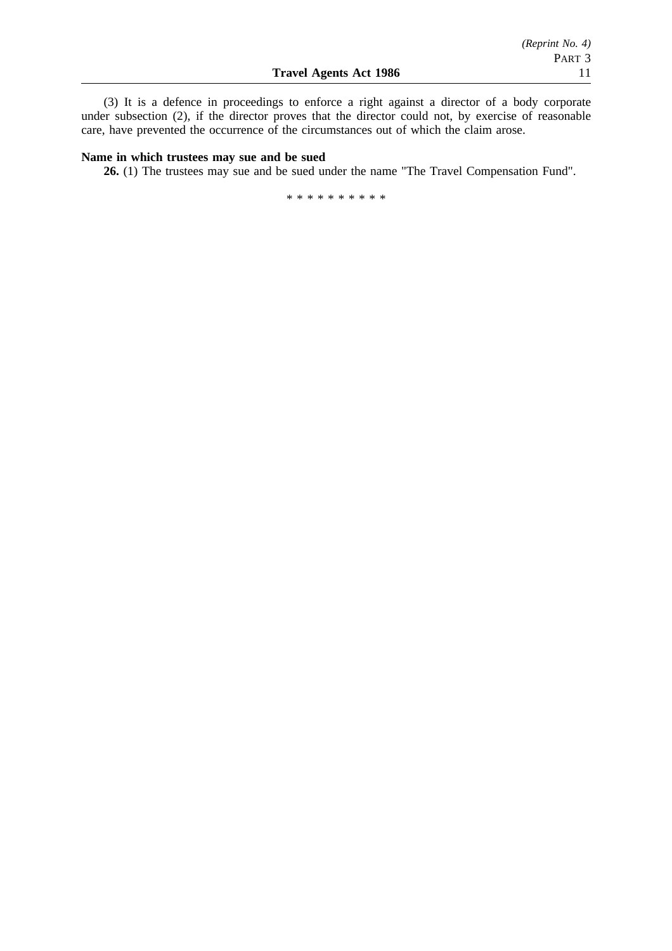(3) It is a defence in proceedings to enforce a right against a director of a body corporate under subsection (2), if the director proves that the director could not, by exercise of reasonable care, have prevented the occurrence of the circumstances out of which the claim arose.

## **Name in which trustees may sue and be sued**

**26.** (1) The trustees may sue and be sued under the name "The Travel Compensation Fund".

\*\*\*\*\*\*\*\*\*\*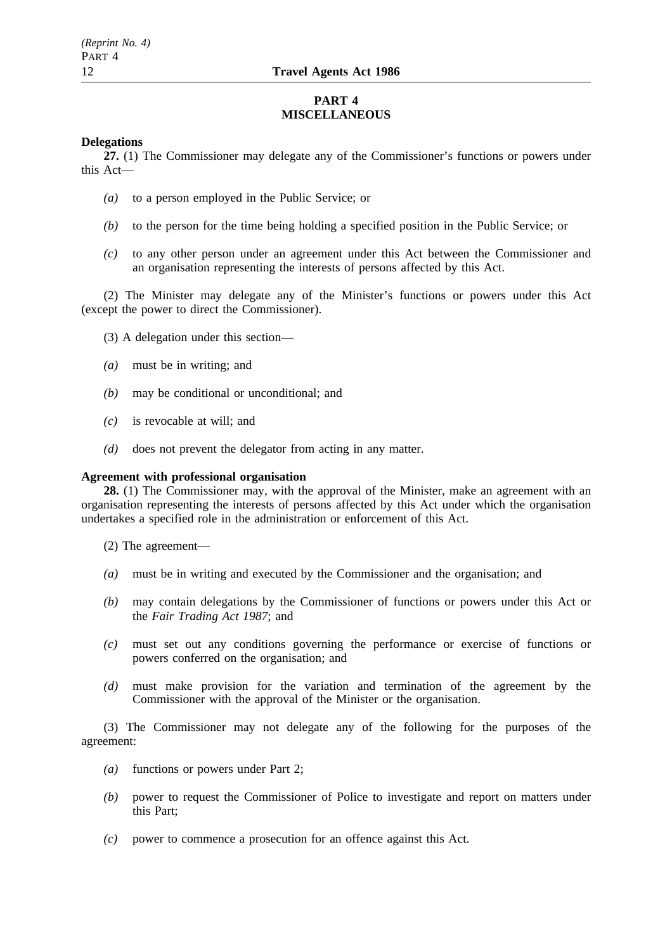# **PART 4 MISCELLANEOUS**

## **Delegations**

**27.** (1) The Commissioner may delegate any of the Commissioner's functions or powers under this Act—

- *(a)* to a person employed in the Public Service; or
- *(b)* to the person for the time being holding a specified position in the Public Service; or
- *(c)* to any other person under an agreement under this Act between the Commissioner and an organisation representing the interests of persons affected by this Act.

(2) The Minister may delegate any of the Minister's functions or powers under this Act (except the power to direct the Commissioner).

- (3) A delegation under this section—
- *(a)* must be in writing; and
- *(b)* may be conditional or unconditional; and
- *(c)* is revocable at will; and
- *(d)* does not prevent the delegator from acting in any matter.

# **Agreement with professional organisation**

**28.** (1) The Commissioner may, with the approval of the Minister, make an agreement with an organisation representing the interests of persons affected by this Act under which the organisation undertakes a specified role in the administration or enforcement of this Act.

- (2) The agreement—
- *(a)* must be in writing and executed by the Commissioner and the organisation; and
- *(b)* may contain delegations by the Commissioner of functions or powers under this Act or the *Fair Trading Act 1987*; and
- *(c)* must set out any conditions governing the performance or exercise of functions or powers conferred on the organisation; and
- *(d)* must make provision for the variation and termination of the agreement by the Commissioner with the approval of the Minister or the organisation.

(3) The Commissioner may not delegate any of the following for the purposes of the agreement:

- *(a)* functions or powers under Part 2;
- *(b)* power to request the Commissioner of Police to investigate and report on matters under this Part;
- *(c)* power to commence a prosecution for an offence against this Act.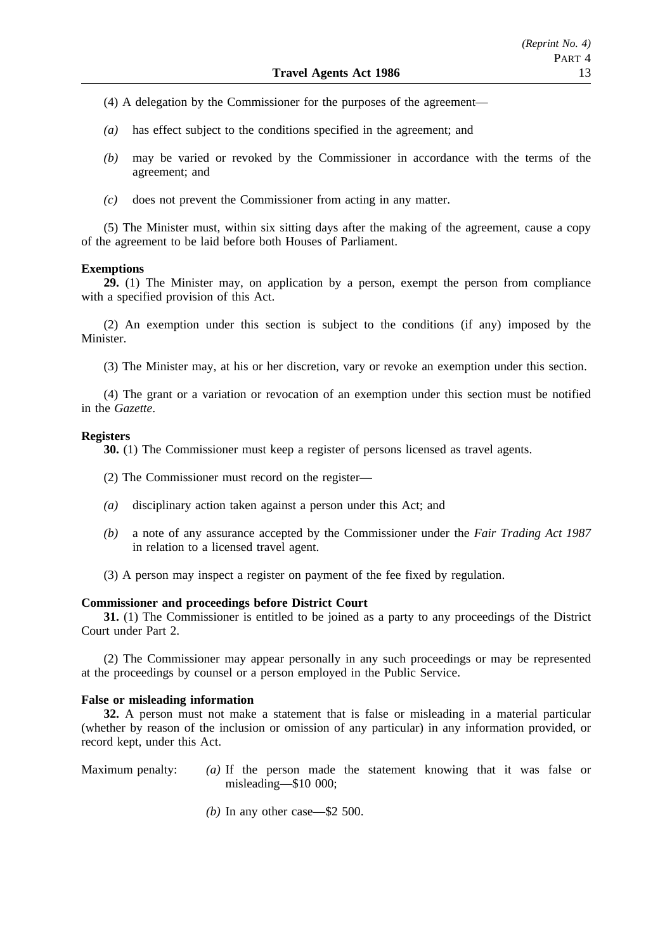- (4) A delegation by the Commissioner for the purposes of the agreement—
- *(a)* has effect subject to the conditions specified in the agreement; and
- *(b)* may be varied or revoked by the Commissioner in accordance with the terms of the agreement; and
- *(c)* does not prevent the Commissioner from acting in any matter.

(5) The Minister must, within six sitting days after the making of the agreement, cause a copy of the agreement to be laid before both Houses of Parliament.

#### **Exemptions**

**29.** (1) The Minister may, on application by a person, exempt the person from compliance with a specified provision of this Act.

(2) An exemption under this section is subject to the conditions (if any) imposed by the Minister.

(3) The Minister may, at his or her discretion, vary or revoke an exemption under this section.

(4) The grant or a variation or revocation of an exemption under this section must be notified in the *Gazette*.

#### **Registers**

**30.** (1) The Commissioner must keep a register of persons licensed as travel agents.

- (2) The Commissioner must record on the register—
- *(a)* disciplinary action taken against a person under this Act; and
- *(b)* a note of any assurance accepted by the Commissioner under the *Fair Trading Act 1987* in relation to a licensed travel agent.
- (3) A person may inspect a register on payment of the fee fixed by regulation.

## **Commissioner and proceedings before District Court**

**31.** (1) The Commissioner is entitled to be joined as a party to any proceedings of the District Court under Part 2.

(2) The Commissioner may appear personally in any such proceedings or may be represented at the proceedings by counsel or a person employed in the Public Service.

### **False or misleading information**

**32.** A person must not make a statement that is false or misleading in a material particular (whether by reason of the inclusion or omission of any particular) in any information provided, or record kept, under this Act.

- Maximum penalty: *(a)* If the person made the statement knowing that it was false or misleading—\$10 000;
	- *(b)* In any other case—\$2 500.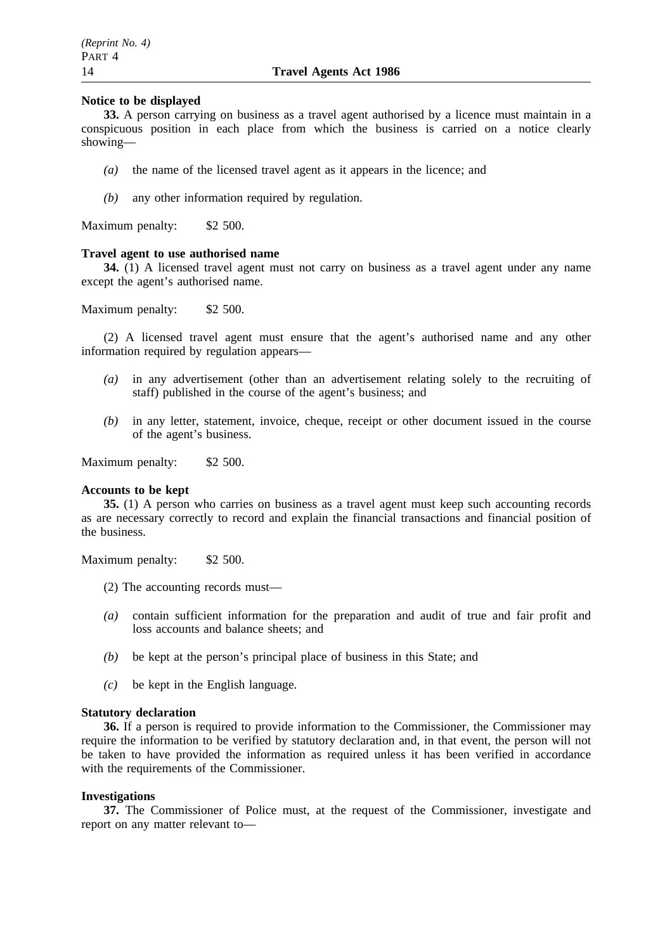## **Notice to be displayed**

**33.** A person carrying on business as a travel agent authorised by a licence must maintain in a conspicuous position in each place from which the business is carried on a notice clearly showing—

- *(a)* the name of the licensed travel agent as it appears in the licence; and
- *(b)* any other information required by regulation.

Maximum penalty: \$2 500.

#### **Travel agent to use authorised name**

**34.** (1) A licensed travel agent must not carry on business as a travel agent under any name except the agent's authorised name.

Maximum penalty: \$2 500.

(2) A licensed travel agent must ensure that the agent's authorised name and any other information required by regulation appears—

- *(a)* in any advertisement (other than an advertisement relating solely to the recruiting of staff) published in the course of the agent's business; and
- *(b)* in any letter, statement, invoice, cheque, receipt or other document issued in the course of the agent's business.

Maximum penalty: \$2 500.

#### **Accounts to be kept**

**35.** (1) A person who carries on business as a travel agent must keep such accounting records as are necessary correctly to record and explain the financial transactions and financial position of the business.

Maximum penalty: \$2 500.

- (2) The accounting records must—
- *(a)* contain sufficient information for the preparation and audit of true and fair profit and loss accounts and balance sheets; and
- *(b)* be kept at the person's principal place of business in this State; and
- *(c)* be kept in the English language.

#### **Statutory declaration**

**36.** If a person is required to provide information to the Commissioner, the Commissioner may require the information to be verified by statutory declaration and, in that event, the person will not be taken to have provided the information as required unless it has been verified in accordance with the requirements of the Commissioner.

# **Investigations**

**37.** The Commissioner of Police must, at the request of the Commissioner, investigate and report on any matter relevant to—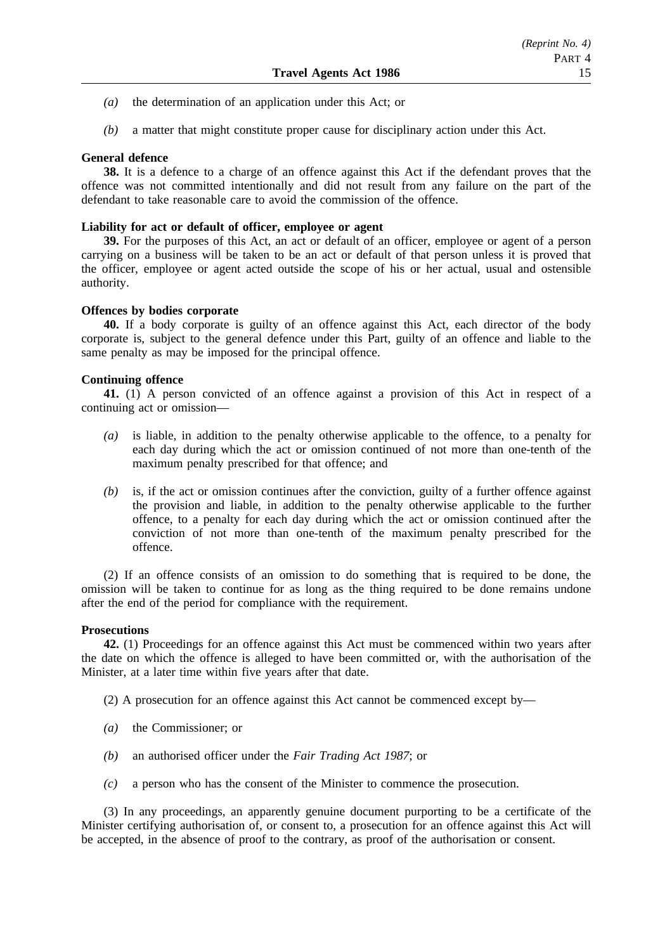- *(a)* the determination of an application under this Act; or
- *(b)* a matter that might constitute proper cause for disciplinary action under this Act.

# **General defence**

**38.** It is a defence to a charge of an offence against this Act if the defendant proves that the offence was not committed intentionally and did not result from any failure on the part of the defendant to take reasonable care to avoid the commission of the offence.

## **Liability for act or default of officer, employee or agent**

**39.** For the purposes of this Act, an act or default of an officer, employee or agent of a person carrying on a business will be taken to be an act or default of that person unless it is proved that the officer, employee or agent acted outside the scope of his or her actual, usual and ostensible authority.

# **Offences by bodies corporate**

**40.** If a body corporate is guilty of an offence against this Act, each director of the body corporate is, subject to the general defence under this Part, guilty of an offence and liable to the same penalty as may be imposed for the principal offence.

# **Continuing offence**

**41.** (1) A person convicted of an offence against a provision of this Act in respect of a continuing act or omission—

- *(a)* is liable, in addition to the penalty otherwise applicable to the offence, to a penalty for each day during which the act or omission continued of not more than one-tenth of the maximum penalty prescribed for that offence; and
- *(b)* is, if the act or omission continues after the conviction, guilty of a further offence against the provision and liable, in addition to the penalty otherwise applicable to the further offence, to a penalty for each day during which the act or omission continued after the conviction of not more than one-tenth of the maximum penalty prescribed for the offence.

(2) If an offence consists of an omission to do something that is required to be done, the omission will be taken to continue for as long as the thing required to be done remains undone after the end of the period for compliance with the requirement.

## **Prosecutions**

**42.** (1) Proceedings for an offence against this Act must be commenced within two years after the date on which the offence is alleged to have been committed or, with the authorisation of the Minister, at a later time within five years after that date.

(2) A prosecution for an offence against this Act cannot be commenced except by—

- *(a)* the Commissioner; or
- *(b)* an authorised officer under the *Fair Trading Act 1987*; or
- *(c)* a person who has the consent of the Minister to commence the prosecution.

(3) In any proceedings, an apparently genuine document purporting to be a certificate of the Minister certifying authorisation of, or consent to, a prosecution for an offence against this Act will be accepted, in the absence of proof to the contrary, as proof of the authorisation or consent.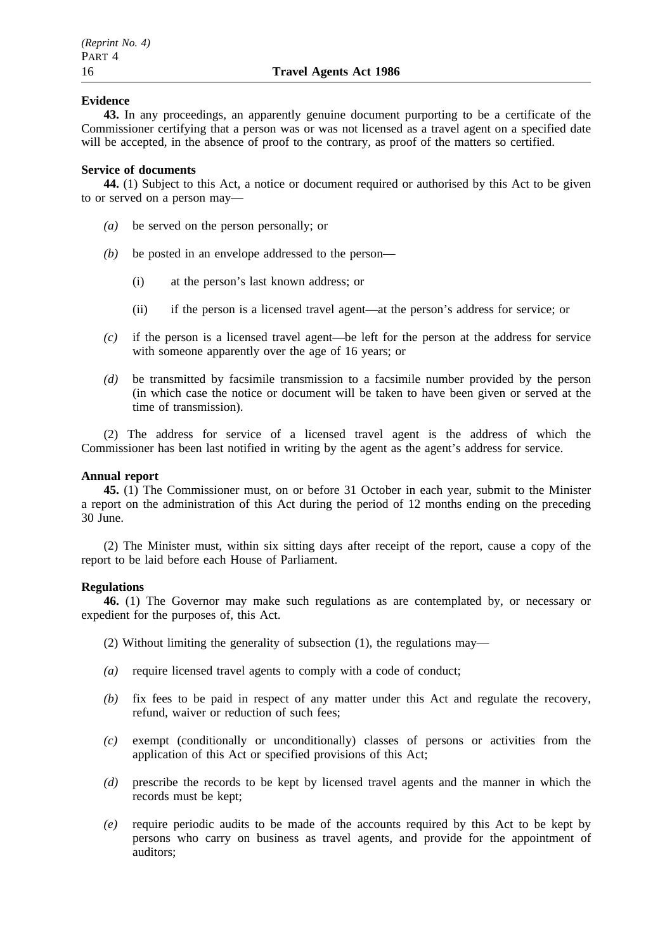## **Evidence**

**43.** In any proceedings, an apparently genuine document purporting to be a certificate of the Commissioner certifying that a person was or was not licensed as a travel agent on a specified date will be accepted, in the absence of proof to the contrary, as proof of the matters so certified.

## **Service of documents**

**44.** (1) Subject to this Act, a notice or document required or authorised by this Act to be given to or served on a person may—

- *(a)* be served on the person personally; or
- *(b)* be posted in an envelope addressed to the person—
	- (i) at the person's last known address; or
	- (ii) if the person is a licensed travel agent—at the person's address for service; or
- *(c)* if the person is a licensed travel agent—be left for the person at the address for service with someone apparently over the age of 16 years; or
- *(d)* be transmitted by facsimile transmission to a facsimile number provided by the person (in which case the notice or document will be taken to have been given or served at the time of transmission).

(2) The address for service of a licensed travel agent is the address of which the Commissioner has been last notified in writing by the agent as the agent's address for service.

## **Annual report**

**45.** (1) The Commissioner must, on or before 31 October in each year, submit to the Minister a report on the administration of this Act during the period of 12 months ending on the preceding 30 June.

(2) The Minister must, within six sitting days after receipt of the report, cause a copy of the report to be laid before each House of Parliament.

## **Regulations**

**46.** (1) The Governor may make such regulations as are contemplated by, or necessary or expedient for the purposes of, this Act.

(2) Without limiting the generality of subsection (1), the regulations may—

- *(a)* require licensed travel agents to comply with a code of conduct;
- *(b)* fix fees to be paid in respect of any matter under this Act and regulate the recovery, refund, waiver or reduction of such fees;
- *(c)* exempt (conditionally or unconditionally) classes of persons or activities from the application of this Act or specified provisions of this Act;
- *(d)* prescribe the records to be kept by licensed travel agents and the manner in which the records must be kept;
- *(e)* require periodic audits to be made of the accounts required by this Act to be kept by persons who carry on business as travel agents, and provide for the appointment of auditors;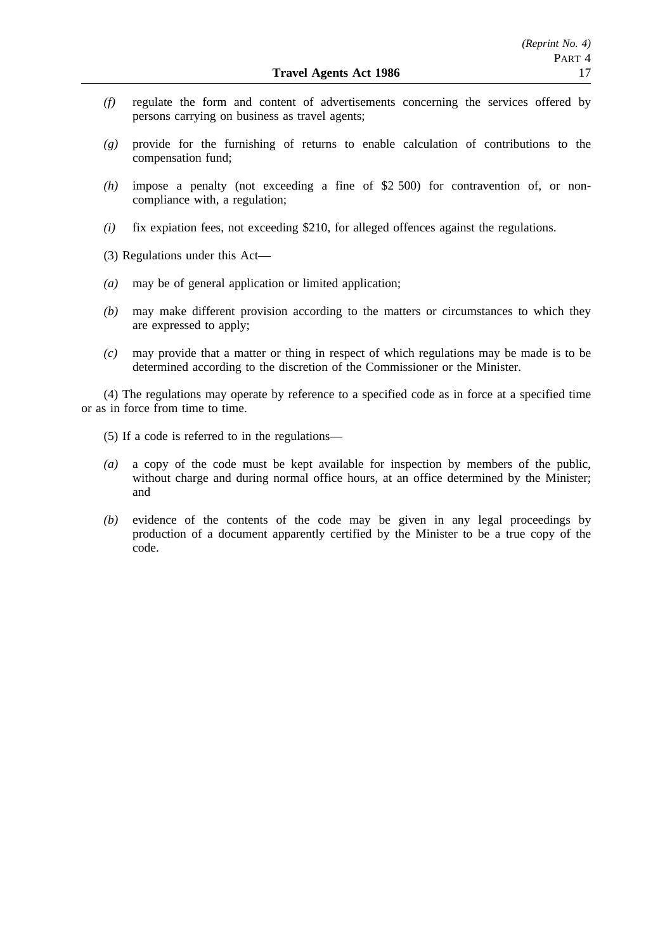- *(f)* regulate the form and content of advertisements concerning the services offered by persons carrying on business as travel agents;
- *(g)* provide for the furnishing of returns to enable calculation of contributions to the compensation fund;
- *(h)* impose a penalty (not exceeding a fine of \$2 500) for contravention of, or noncompliance with, a regulation;
- *(i)* fix expiation fees, not exceeding \$210, for alleged offences against the regulations.
- (3) Regulations under this Act—
- *(a)* may be of general application or limited application;
- *(b)* may make different provision according to the matters or circumstances to which they are expressed to apply;
- *(c)* may provide that a matter or thing in respect of which regulations may be made is to be determined according to the discretion of the Commissioner or the Minister.

(4) The regulations may operate by reference to a specified code as in force at a specified time or as in force from time to time.

- (5) If a code is referred to in the regulations—
- *(a)* a copy of the code must be kept available for inspection by members of the public, without charge and during normal office hours, at an office determined by the Minister; and
- *(b)* evidence of the contents of the code may be given in any legal proceedings by production of a document apparently certified by the Minister to be a true copy of the code.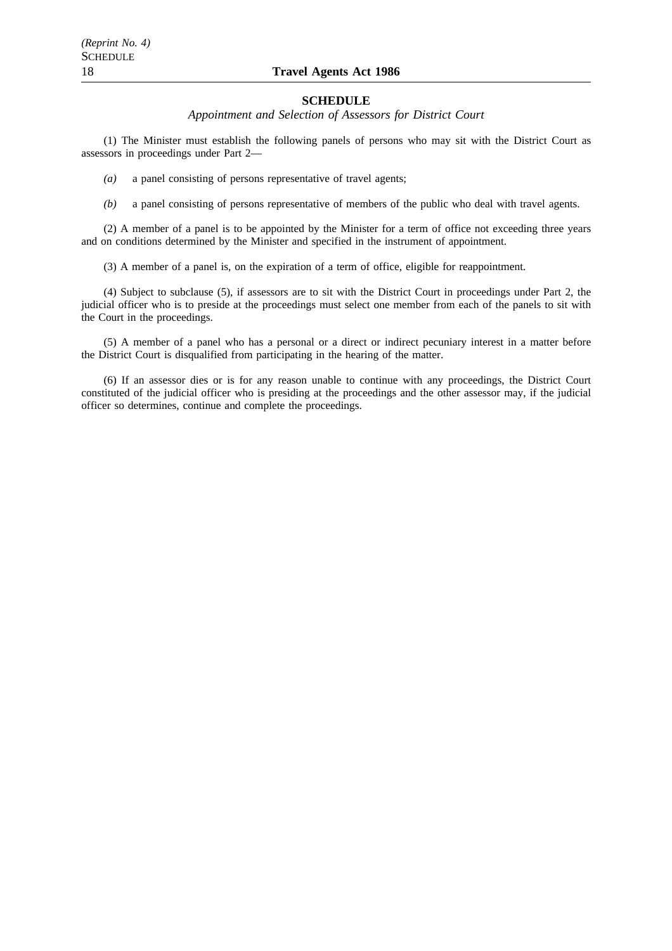# 18 **Travel Agents Act 1986**

#### **SCHEDULE**

*Appointment and Selection of Assessors for District Court*

(1) The Minister must establish the following panels of persons who may sit with the District Court as assessors in proceedings under Part 2—

*(a)* a panel consisting of persons representative of travel agents;

*(b)* a panel consisting of persons representative of members of the public who deal with travel agents.

(2) A member of a panel is to be appointed by the Minister for a term of office not exceeding three years and on conditions determined by the Minister and specified in the instrument of appointment.

(3) A member of a panel is, on the expiration of a term of office, eligible for reappointment.

(4) Subject to subclause (5), if assessors are to sit with the District Court in proceedings under Part 2, the judicial officer who is to preside at the proceedings must select one member from each of the panels to sit with the Court in the proceedings.

(5) A member of a panel who has a personal or a direct or indirect pecuniary interest in a matter before the District Court is disqualified from participating in the hearing of the matter.

(6) If an assessor dies or is for any reason unable to continue with any proceedings, the District Court constituted of the judicial officer who is presiding at the proceedings and the other assessor may, if the judicial officer so determines, continue and complete the proceedings.